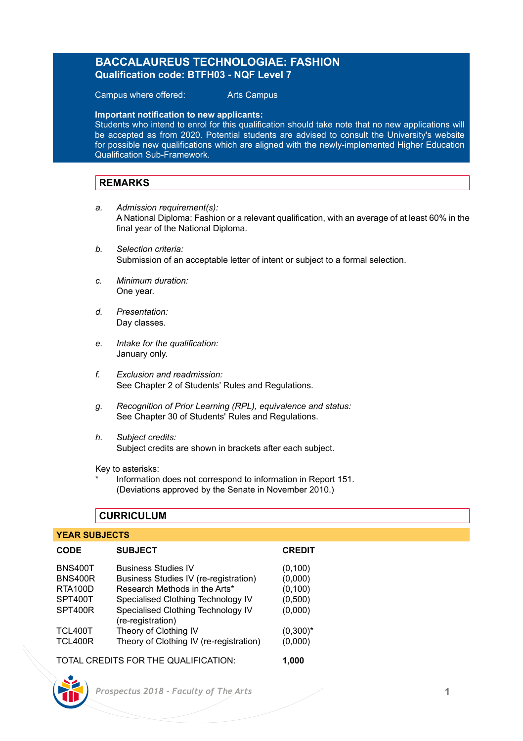# **BACCALAUREUS TECHNOLOGIAE: FASHION Qualification code: BTFH03 - NQF Level 7**

Campus where offered: Arts Campus

**Important notification to new applicants:** 

Students who intend to enrol for this qualification should take note that no new applications will be accepted as from 2020. Potential students are advised to consult the University's website for possible new qualifications which are aligned with the newly-implemented Higher Education Qualification Sub-Framework.

### **REMARKS**

- *a. Admission requirement(s):* A National Diploma: Fashion or a relevant qualification, with an average of at least 60% in the final year of the National Diploma.
- *b. Selection criteria:* Submission of an acceptable letter of intent or subject to a formal selection.
- *c. Minimum duration:* One year.
- *d. Presentation:* Day classes.
- *e. Intake for the qualification:* January only.
- *f. Exclusion and readmission:* See Chapter 2 of Students' Rules and Regulations.
- *g. Recognition of Prior Learning (RPL), equivalence and status:* See Chapter 30 of Students' Rules and Regulations.
- *h. Subject credits:* Subject credits are shown in brackets after each subject.

Key to asterisks:

Information does not correspond to information in Report 151. (Deviations approved by the Senate in November 2010.)

### **CURRICULUM**

# **YEAR SUBJECTS**

| <b>SUBJECT</b>                                                   | <b>CREDIT</b>                                                          |
|------------------------------------------------------------------|------------------------------------------------------------------------|
| <b>Business Studies IV</b>                                       | (0,100)                                                                |
|                                                                  | (0,000)<br>(0, 100)                                                    |
| Specialised Clothing Technology IV                               | (0,500)                                                                |
| Specialised Clothing Technology IV<br>(re-registration)          | (0,000)                                                                |
| Theory of Clothing IV<br>Theory of Clothing IV (re-registration) | $(0,300)^*$<br>(0,000)                                                 |
|                                                                  | Business Studies IV (re-registration)<br>Research Methods in the Arts* |

TOTAL CREDITS FOR THE QUALIFICATION: **1,000**